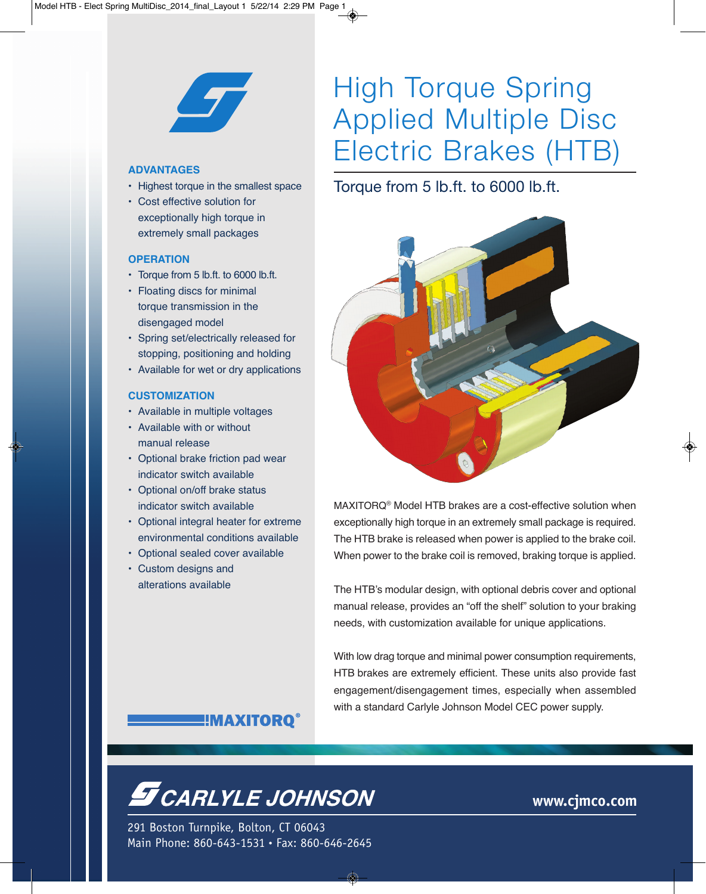

#### **ADVANTAGES**

- Highest torque in the smallest space
- Cost effective solution for exceptionally high torque in extremely small packages

#### **OPERATION**

- Torque from 5 lb.ft. to 6000 lb.ft.
- Floating discs for minimal torque transmission in the disengaged model
- Spring set/electrically released for stopping, positioning and holding
- Available for wet or dry applications

#### **CUSTOMIZATION**

- Available in multiple voltages
- Available with or without manual release
- Optional brake friction pad wear indicator switch available
- Optional on/off brake status indicator switch available
- Optional integral heater for extreme environmental conditions available
- Optional sealed cover available
- Custom designs and alterations available

# High Torque Spring Applied Multiple Disc Electric Brakes (HTB)

## Torque from 5 lb.ft. to 6000 lb.ft.



MAXITORQ® Model HTB brakes are a cost-effective solution when exceptionally high torque in an extremely small package is required. The HTB brake is released when power is applied to the brake coil. When power to the brake coil is removed, braking torque is applied.

The HTB's modular design, with optional debris cover and optional manual release, provides an "off the shelf" solution to your braking needs, with customization available for unique applications.

With low drag torque and minimal power consumption requirements, HTB brakes are extremely efficient. These units also provide fast engagement/disengagement times, especially when assembled with a standard Carlyle Johnson Model CEC power supply.

### ‼MAXITORO®

# **S** CARLYLE JOHNSON

291 Boston Turnpike, Bolton, CT 06043 Main Phone: 860-643-1531 • Fax: 860-646-2645

## **www.cjmco.com**